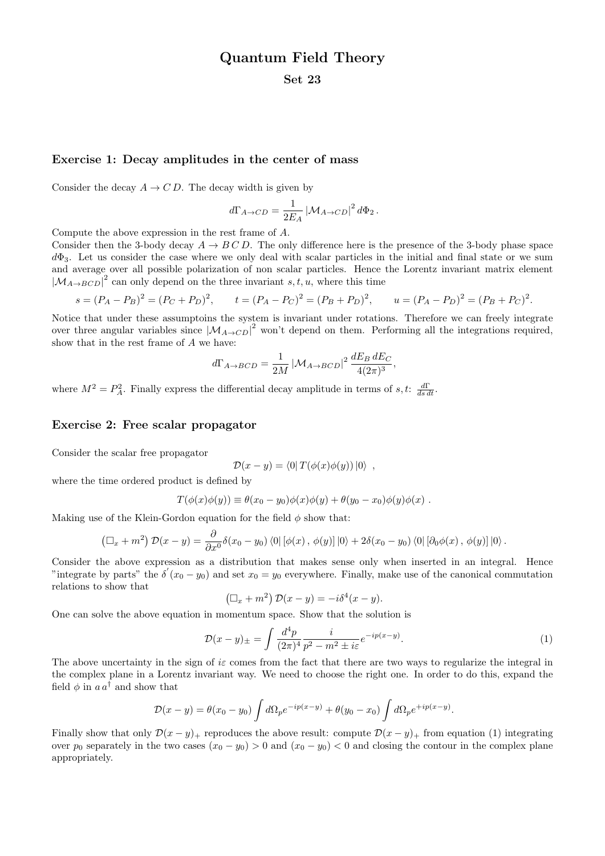# Quantum Field Theory

### Set 23

#### Exercise 1: Decay amplitudes in the center of mass

Consider the decay  $A \to CD$ . The decay width is given by

$$
d\Gamma_{A\to CD} = \frac{1}{2E_A} \left| \mathcal{M}_{A\to CD} \right|^2 d\Phi_2.
$$

Compute the above expression in the rest frame of A.

Consider then the 3-body decay  $A \to B C D$ . The only difference here is the presence of the 3-body phase space  $d\Phi_3$ . Let us consider the case where we only deal with scalar particles in the initial and final state or we sum and average over all possible polarization of non scalar particles. Hence the Lorentz invariant matrix element  $|M_{A\rightarrow BCD}|^2$  can only depend on the three invariant s, t, u, where this time

$$
s = (P_A - P_B)^2 = (P_C + P_D)^2, \qquad t = (P_A - P_C)^2 = (P_B + P_D)^2, \qquad u = (P_A - P_D)^2 = (P_B + P_C)^2.
$$

Notice that under these assumptoins the system is invariant under rotations. Therefore we can freely integrate over three angular variables since  $|\mathcal{M}_{A\to CD}|^2$  won't depend on them. Performing all the integrations required, show that in the rest frame of A we have:

$$
d\Gamma_{A\to BCD} = \frac{1}{2M} \left| \mathcal{M}_{A\to BCD} \right|^2 \frac{dE_B dE_C}{4(2\pi)^3},
$$

where  $M^2 = P_A^2$ . Finally express the differential decay amplitude in terms of s, t:  $\frac{d\Gamma}{ds dt}$ .

#### Exercise 2: Free scalar propagator

Consider the scalar free propagator

$$
\mathcal{D}(x - y) = \langle 0| T(\phi(x)\phi(y))|0\rangle ,
$$

where the time ordered product is defined by

$$
T(\phi(x)\phi(y)) \equiv \theta(x_0 - y_0)\phi(x)\phi(y) + \theta(y_0 - x_0)\phi(y)\phi(x) .
$$

Making use of the Klein-Gordon equation for the field  $\phi$  show that:

$$
\left(\Box_x + m^2\right)\mathcal{D}(x - y) = \frac{\partial}{\partial x^0}\delta(x_0 - y_0)\left\langle 0 \right| \left[\phi(x), \phi(y)\right] \left|0\right\rangle + 2\delta(x_0 - y_0)\left\langle 0 \right| \left[\partial_0\phi(x), \phi(y)\right] \left|0\right\rangle.
$$

Consider the above expression as a distribution that makes sense only when inserted in an integral. Hence "integrate by parts" the  $\delta'(x_0 - y_0)$  and set  $x_0 = y_0$  everywhere. Finally, make use of the canonical commutation relations to show that

$$
(\Box_x + m^2) \mathcal{D}(x - y) = -i \delta^4(x - y).
$$

One can solve the above equation in momentum space. Show that the solution is

$$
\mathcal{D}(x-y)_{\pm} = \int \frac{d^4p}{(2\pi)^4} \frac{i}{p^2 - m^2 \pm i\varepsilon} e^{-ip(x-y)}.
$$
\n(1)

The above uncertainty in the sign of is comes from the fact that there are two ways to regularize the integral in the complex plane in a Lorentz invariant way. We need to choose the right one. In order to do this, expand the field  $\phi$  in  $a a^{\dagger}$  and show that

$$
\mathcal{D}(x-y) = \theta(x_0 - y_0) \int d\Omega_p e^{-ip(x-y)} + \theta(y_0 - x_0) \int d\Omega_p e^{+ip(x-y)}.
$$

Finally show that only  $\mathcal{D}(x - y)$ + reproduces the above result: compute  $\mathcal{D}(x - y)$ + from equation (1) integrating over  $p_0$  separately in the two cases  $(x_0 - y_0) > 0$  and  $(x_0 - y_0) < 0$  and closing the contour in the complex plane appropriately.